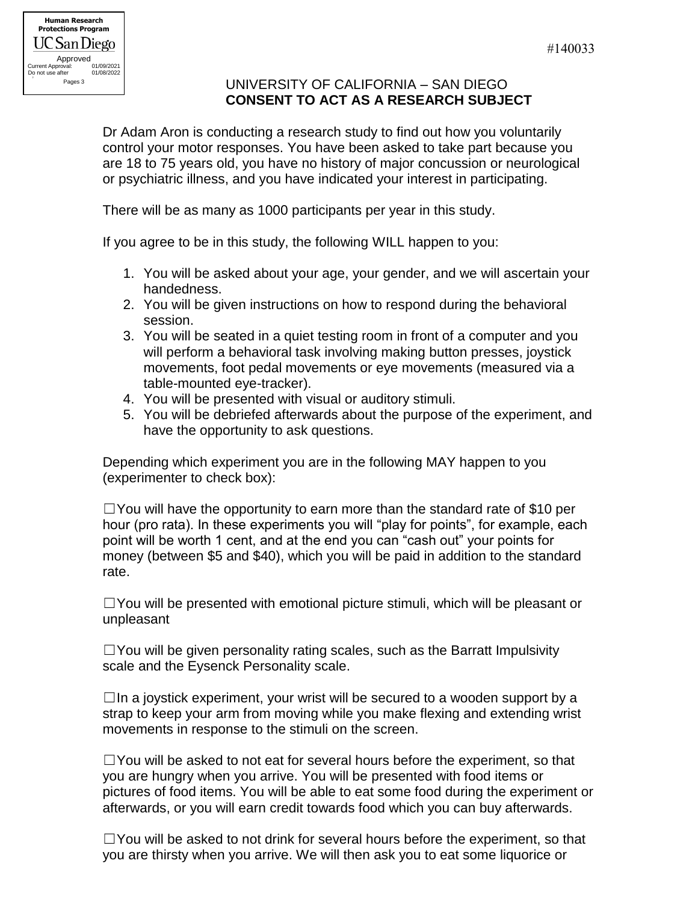## UNIVERSITY OF CALIFORNIA – SAN DIEGO **CONSENT TO ACT AS A RESEARCH SUBJECT**

Dr Adam Aron is conducting a research study to find out how you voluntarily control your motor responses. You have been asked to take part because you are 18 to 75 years old, you have no history of major concussion or neurological or psychiatric illness, and you have indicated your interest in participating.

There will be as many as 1000 participants per year in this study.

If you agree to be in this study, the following WILL happen to you:

- 1. You will be asked about your age, your gender, and we will ascertain your handedness.
- 2. You will be given instructions on how to respond during the behavioral session.
- 3. You will be seated in a quiet testing room in front of a computer and you will perform a behavioral task involving making button presses, joystick movements, foot pedal movements or eye movements (measured via a table-mounted eye-tracker).
- 4. You will be presented with visual or auditory stimuli.
- 5. You will be debriefed afterwards about the purpose of the experiment, and have the opportunity to ask questions.

Depending which experiment you are in the following MAY happen to you (experimenter to check box):

 $\Box$  You will have the opportunity to earn more than the standard rate of \$10 per hour (pro rata). In these experiments you will "play for points", for example, each point will be worth 1 cent, and at the end you can "cash out" your points for money (between \$5 and \$40), which you will be paid in addition to the standard rate.

 $\square$  You will be presented with emotional picture stimuli, which will be pleasant or unpleasant

 $\Box$  You will be given personality rating scales, such as the Barratt Impulsivity scale and the Eysenck Personality scale.

 $\Box$ In a joystick experiment, your wrist will be secured to a wooden support by a strap to keep your arm from moving while you make flexing and extending wrist movements in response to the stimuli on the screen.

 $\Box$  You will be asked to not eat for several hours before the experiment, so that you are hungry when you arrive. You will be presented with food items or pictures of food items. You will be able to eat some food during the experiment or afterwards, or you will earn credit towards food which you can buy afterwards.

☐You will be asked to not drink for several hours before the experiment, so that you are thirsty when you arrive. We will then ask you to eat some liquorice or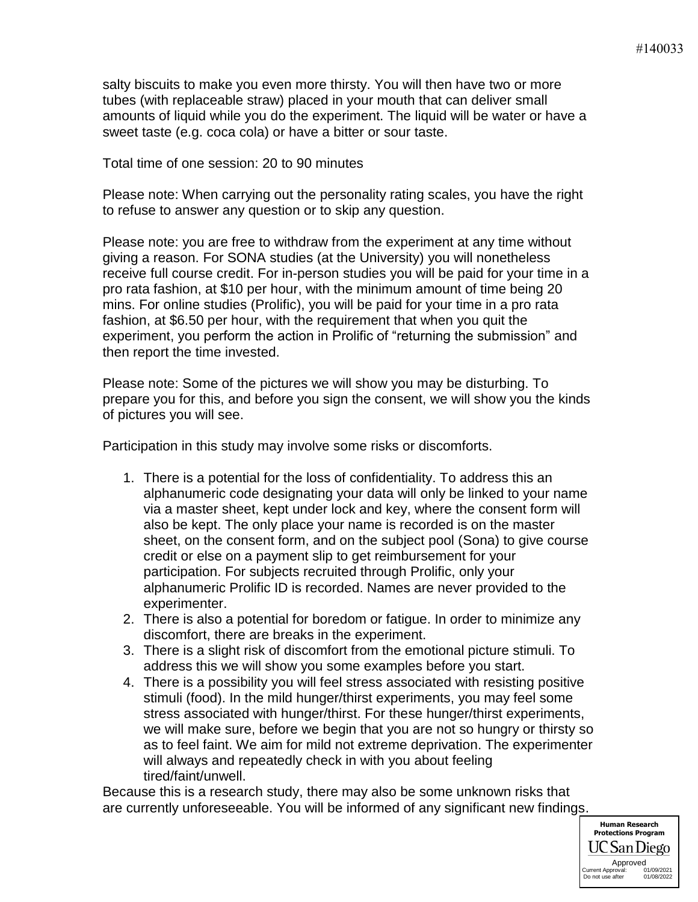salty biscuits to make you even more thirsty. You will then have two or more tubes (with replaceable straw) placed in your mouth that can deliver small amounts of liquid while you do the experiment. The liquid will be water or have a sweet taste (e.g. coca cola) or have a bitter or sour taste.

Total time of one session: 20 to 90 minutes

Please note: When carrying out the personality rating scales, you have the right to refuse to answer any question or to skip any question.

Please note: you are free to withdraw from the experiment at any time without giving a reason. For SONA studies (at the University) you will nonetheless receive full course credit. For in-person studies you will be paid for your time in a pro rata fashion, at \$10 per hour, with the minimum amount of time being 20 mins. For online studies (Prolific), you will be paid for your time in a pro rata fashion, at \$6.50 per hour, with the requirement that when you quit the experiment, you perform the action in Prolific of "returning the submission" and then report the time invested.

Please note: Some of the pictures we will show you may be disturbing. To prepare you for this, and before you sign the consent, we will show you the kinds of pictures you will see.

Participation in this study may involve some risks or discomforts.

- 1. There is a potential for the loss of confidentiality. To address this an alphanumeric code designating your data will only be linked to your name via a master sheet, kept under lock and key, where the consent form will also be kept. The only place your name is recorded is on the master sheet, on the consent form, and on the subject pool (Sona) to give course credit or else on a payment slip to get reimbursement for your participation. For subjects recruited through Prolific, only your alphanumeric Prolific ID is recorded. Names are never provided to the experimenter.
- 2. There is also a potential for boredom or fatigue. In order to minimize any discomfort, there are breaks in the experiment.
- 3. There is a slight risk of discomfort from the emotional picture stimuli. To address this we will show you some examples before you start.
- 4. There is a possibility you will feel stress associated with resisting positive stimuli (food). In the mild hunger/thirst experiments, you may feel some stress associated with hunger/thirst. For these hunger/thirst experiments, we will make sure, before we begin that you are not so hungry or thirsty so as to feel faint. We aim for mild not extreme deprivation. The experimenter will always and repeatedly check in with you about feeling tired/faint/unwell.

Because this is a research study, there may also be some unknown risks that are currently unforeseeable. You will be informed of any significant new findings.

> **Human Research Protections Program** UC San Diego Approved<br>proval: 01/09/2021 Current Approval: 01/09/2021<br>Do not use after 01/08/2022 **Do not use after**